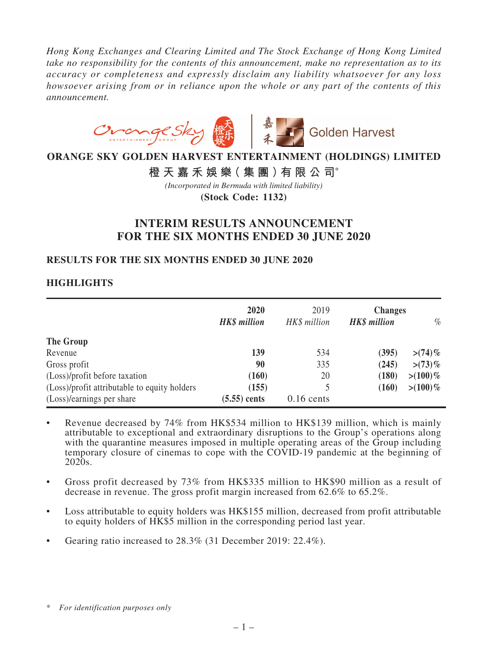*Hong Kong Exchanges and Clearing Limited and The Stock Exchange of Hong Kong Limited take no responsibility for the contents of this announcement, make no representation as to its accuracy or completeness and expressly disclaim any liability whatsoever for any loss howsoever arising from or in reliance upon the whole or any part of the contents of this announcement.*



# **ORANGE SKY GOLDEN HARVEST ENTERTAINMENT (HOLDINGS) LIMITED**

# **橙天嘉禾娛樂(集團)有限公司**\*

**(Stock Code: 1132)** *(Incorporated in Bermuda with limited liability)*

# **INTERIM RESULTS ANNOUNCEMENT FOR THE SIX MONTHS ENDED 30 JUNE 2020**

### **RESULTS FOR THE SIX MONTHS ENDED 30 JUNE 2020**

# **HIGHLIGHTS**

|                                              | 2020<br><b>HK\$</b> million | 2019<br>HK\$ million | <b>Changes</b><br><b>HK\$</b> million | $\%$        |
|----------------------------------------------|-----------------------------|----------------------|---------------------------------------|-------------|
| The Group                                    |                             |                      |                                       |             |
| Revenue                                      | 139                         | 534                  | (395)                                 | $>(74)\%$   |
| Gross profit                                 | 90                          | 335                  | (245)                                 | $> (73)\%$  |
| (Loss)/profit before taxation                | (160)                       | 20                   | (180)                                 | $> (100)\%$ |
| (Loss)/profit attributable to equity holders | (155)                       |                      | (160)                                 | $> (100)\%$ |
| (Loss)/earnings per share                    | $(5.55)$ cents              | $0.16$ cents         |                                       |             |

- Revenue decreased by 74% from HK\$534 million to HK\$139 million, which is mainly attributable to exceptional and extraordinary disruptions to the Group's operations along with the quarantine measures imposed in multiple operating areas of the Group including temporary closure of cinemas to cope with the COVID-19 pandemic at the beginning of 2020s.
- • Gross profit decreased by 73% from HK\$335 million to HK\$90 million as a result of decrease in revenue. The gross profit margin increased from 62.6% to 65.2%.
- Loss attributable to equity holders was HK\$155 million, decreased from profit attributable to equity holders of HK\$5 million in the corresponding period last year.
- Gearing ratio increased to  $28.3\%$  (31 December 2019: 22.4%).

<sup>\*</sup> *For identification purposes only*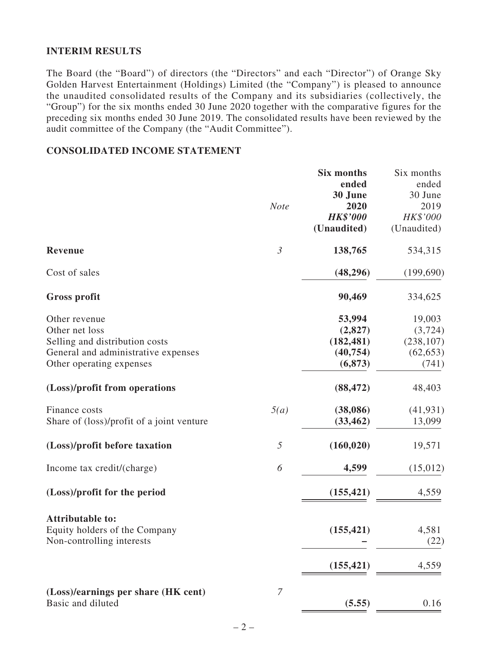## **INTERIM RESULTS**

The Board (the "Board") of directors (the "Directors" and each "Director") of Orange Sky Golden Harvest Entertainment (Holdings) Limited (the "Company") is pleased to announce the unaudited consolidated results of the Company and its subsidiaries (collectively, the "Group") for the six months ended 30 June 2020 together with the comparative figures for the preceding six months ended 30 June 2019. The consolidated results have been reviewed by the audit committee of the Company (the "Audit Committee").

### **CONSOLIDATED INCOME STATEMENT**

|                                           |                | Six months      | Six months  |
|-------------------------------------------|----------------|-----------------|-------------|
|                                           |                | ended           | ended       |
|                                           |                | 30 June         | 30 June     |
|                                           | <b>Note</b>    | 2020            | 2019        |
|                                           |                | <b>HK\$'000</b> | HK\$'000    |
|                                           |                | (Unaudited)     | (Unaudited) |
| <b>Revenue</b>                            | $\mathfrak{Z}$ | 138,765         | 534,315     |
| Cost of sales                             |                | (48, 296)       | (199, 690)  |
| <b>Gross profit</b>                       |                | 90,469          | 334,625     |
| Other revenue                             |                | 53,994          | 19,003      |
| Other net loss                            |                | (2,827)         | (3, 724)    |
| Selling and distribution costs            |                | (182, 481)      | (238, 107)  |
| General and administrative expenses       |                | (40, 754)       | (62, 653)   |
| Other operating expenses                  |                | (6, 873)        | (741)       |
| (Loss)/profit from operations             |                | (88, 472)       | 48,403      |
| Finance costs                             | 5(a)           | (38,086)        | (41, 931)   |
| Share of (loss)/profit of a joint venture |                | (33, 462)       | 13,099      |
| (Loss)/profit before taxation             | 5              | (160, 020)      | 19,571      |
| Income tax credit/(charge)                | 6              | 4,599           | (15,012)    |
| (Loss)/profit for the period              |                | (155, 421)      | 4,559       |
| <b>Attributable to:</b>                   |                |                 |             |
| Equity holders of the Company             |                | (155, 421)      | 4,581       |
| Non-controlling interests                 |                |                 | (22)        |
|                                           |                | (155, 421)      | 4,559       |
| (Loss)/earnings per share (HK cent)       | $\overline{7}$ |                 |             |
| Basic and diluted                         |                | (5.55)          | 0.16        |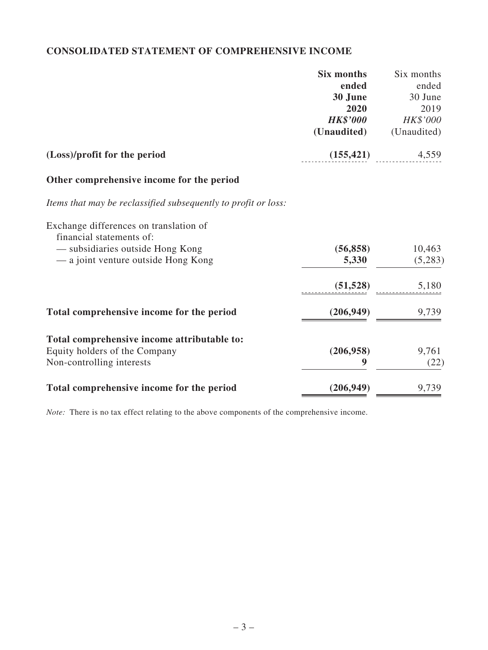# **CONSOLIDATED STATEMENT OF COMPREHENSIVE INCOME**

|                                                                    | Six months      | Six months  |
|--------------------------------------------------------------------|-----------------|-------------|
|                                                                    | ended           | ended       |
|                                                                    | 30 June         | 30 June     |
|                                                                    | 2020            | 2019        |
|                                                                    | <b>HK\$'000</b> | HK\$'000    |
|                                                                    | (Unaudited)     | (Unaudited) |
| (Loss)/profit for the period                                       | (155, 421)      | 4,559       |
| Other comprehensive income for the period                          |                 |             |
| Items that may be reclassified subsequently to profit or loss:     |                 |             |
| Exchange differences on translation of<br>financial statements of: |                 |             |
| - subsidiaries outside Hong Kong                                   | (56, 858)       | 10,463      |
| — a joint venture outside Hong Kong                                | 5,330           | (5,283)     |
|                                                                    | (51, 528)       | 5,180       |
| Total comprehensive income for the period                          | (206, 949)      | 9,739       |
|                                                                    |                 |             |
| Total comprehensive income attributable to:                        |                 |             |
| Equity holders of the Company                                      | (206, 958)      | 9,761       |
| Non-controlling interests                                          | 9               | (22)        |
| Total comprehensive income for the period                          | (206, 949)      | 9,739       |

*Note:* There is no tax effect relating to the above components of the comprehensive income.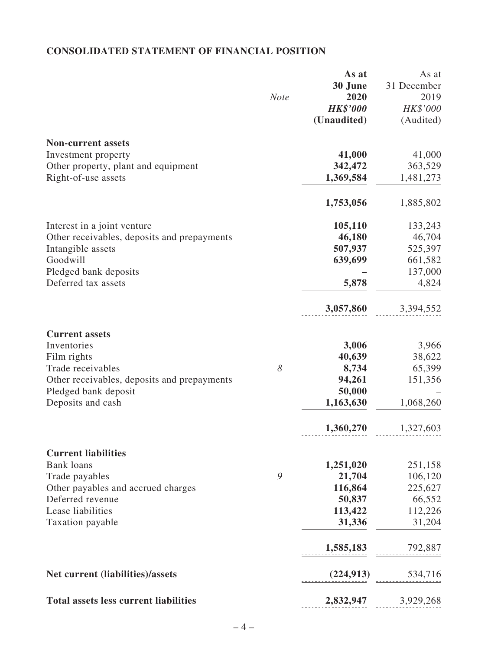# **CONSOLIDATED STATEMENT OF FINANCIAL POSITION**

|                                              |             | As at           | As at       |
|----------------------------------------------|-------------|-----------------|-------------|
|                                              |             | 30 June         | 31 December |
|                                              | <b>Note</b> | 2020            | 2019        |
|                                              |             | <b>HK\$'000</b> | HK\$'000    |
|                                              |             | (Unaudited)     | (Audited)   |
| <b>Non-current assets</b>                    |             |                 |             |
| Investment property                          |             | 41,000          | 41,000      |
| Other property, plant and equipment          |             | 342,472         | 363,529     |
| Right-of-use assets                          |             | 1,369,584       | 1,481,273   |
|                                              |             | 1,753,056       | 1,885,802   |
| Interest in a joint venture                  |             | 105,110         | 133,243     |
| Other receivables, deposits and prepayments  |             | 46,180          | 46,704      |
| Intangible assets                            |             | 507,937         | 525,397     |
| Goodwill                                     |             | 639,699         | 661,582     |
| Pledged bank deposits                        |             |                 | 137,000     |
| Deferred tax assets                          |             | 5,878           | 4,824       |
|                                              |             | 3,057,860       | 3,394,552   |
| <b>Current assets</b>                        |             |                 |             |
| Inventories                                  |             | 3,006           | 3,966       |
| Film rights                                  |             | 40,639          | 38,622      |
| Trade receivables                            | 8           | 8,734           | 65,399      |
| Other receivables, deposits and prepayments  |             | 94,261          | 151,356     |
| Pledged bank deposit                         |             | 50,000          |             |
| Deposits and cash                            |             | 1,163,630       | 1,068,260   |
|                                              |             | 1,360,270       | 1,327,603   |
| <b>Current liabilities</b>                   |             |                 |             |
| <b>Bank loans</b>                            |             | 1,251,020       | 251,158     |
| Trade payables                               | 9           | 21,704          | 106,120     |
| Other payables and accrued charges           |             | 116,864         | 225,627     |
| Deferred revenue                             |             | 50,837          | 66,552      |
| Lease liabilities                            |             | 113,422         | 112,226     |
| Taxation payable                             |             | 31,336          | 31,204      |
|                                              |             | 1,585,183       | 792,887     |
| <b>Net current (liabilities)/assets</b>      |             | (224, 913)      | 534,716     |
| <b>Total assets less current liabilities</b> |             | 2,832,947       | 3,929,268   |
|                                              |             |                 |             |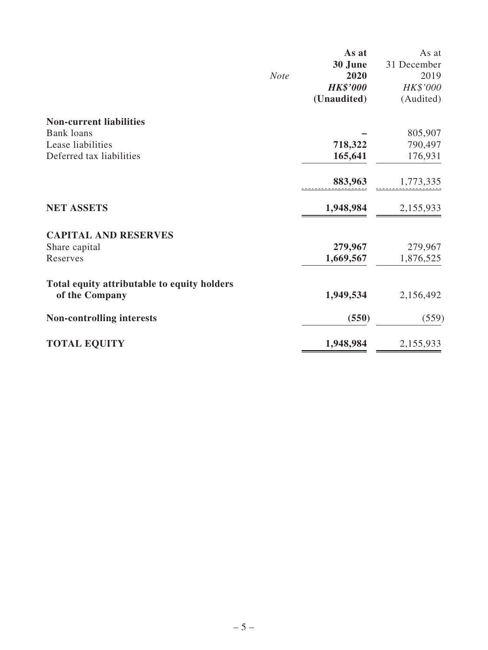|                                                               |             | As at           | As at       |
|---------------------------------------------------------------|-------------|-----------------|-------------|
|                                                               |             | 30 June         | 31 December |
|                                                               | <b>Note</b> | 2020            | 2019        |
|                                                               |             | <b>HK\$'000</b> | HK\$'000    |
|                                                               |             | (Unaudited)     | (Audited)   |
| <b>Non-current liabilities</b>                                |             |                 |             |
| <b>Bank loans</b>                                             |             |                 | 805,907     |
| Lease liabilities                                             |             | 718,322         | 790,497     |
| Deferred tax liabilities                                      |             | 165,641         | 176,931     |
|                                                               |             | 883,963         | 1,773,335   |
| <b>NET ASSETS</b>                                             |             | 1,948,984       | 2,155,933   |
| <b>CAPITAL AND RESERVES</b>                                   |             |                 |             |
| Share capital                                                 |             | 279,967         | 279,967     |
| Reserves                                                      |             | 1,669,567       | 1,876,525   |
| Total equity attributable to equity holders<br>of the Company |             | 1,949,534       | 2,156,492   |
| <b>Non-controlling interests</b>                              |             | (550)           | (559)       |
| <b>TOTAL EQUITY</b>                                           |             | 1,948,984       | 2,155,933   |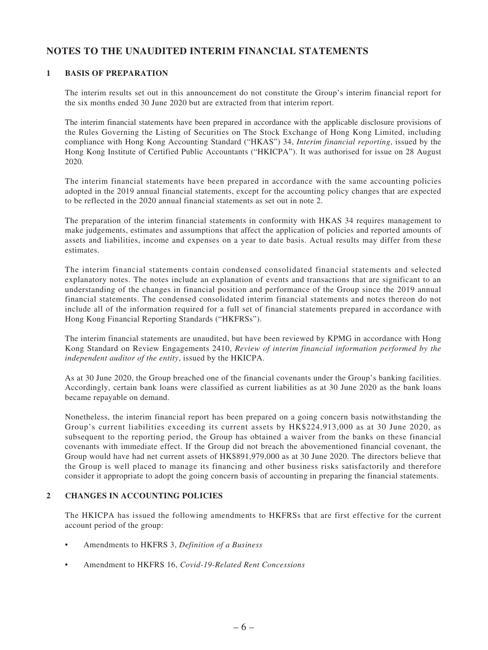# **NOTES TO THE UNAUDITED INTERIM FINANCIAL STATEMENTS**

### **1 BASIS OF PREPARATION**

The interim results set out in this announcement do not constitute the Group's interim financial report for the six months ended 30 June 2020 but are extracted from that interim report.

The interim financial statements have been prepared in accordance with the applicable disclosure provisions of the Rules Governing the Listing of Securities on The Stock Exchange of Hong Kong Limited, including compliance with Hong Kong Accounting Standard ("HKAS") 34, *Interim financial reporting*, issued by the Hong Kong Institute of Certified Public Accountants ("HKICPA"). It was authorised for issue on 28 August 2020.

The interim financial statements have been prepared in accordance with the same accounting policies adopted in the 2019 annual financial statements, except for the accounting policy changes that are expected to be reflected in the 2020 annual financial statements as set out in note 2.

The preparation of the interim financial statements in conformity with HKAS 34 requires management to make judgements, estimates and assumptions that affect the application of policies and reported amounts of assets and liabilities, income and expenses on a year to date basis. Actual results may differ from these estimates.

The interim financial statements contain condensed consolidated financial statements and selected explanatory notes. The notes include an explanation of events and transactions that are significant to an understanding of the changes in financial position and performance of the Group since the 2019 annual financial statements. The condensed consolidated interim financial statements and notes thereon do not include all of the information required for a full set of financial statements prepared in accordance with Hong Kong Financial Reporting Standards ("HKFRSs").

The interim financial statements are unaudited, but have been reviewed by KPMG in accordance with Hong Kong Standard on Review Engagements 2410, *Review of interim financial information performed by the independent auditor of the entity*, issued by the HKICPA.

As at 30 June 2020, the Group breached one of the financial covenants under the Group's banking facilities. Accordingly, certain bank loans were classified as current liabilities as at 30 June 2020 as the bank loans became repayable on demand.

Nonetheless, the interim financial report has been prepared on a going concern basis notwithstanding the Group's current liabilities exceeding its current assets by HK\$224,913,000 as at 30 June 2020, as subsequent to the reporting period, the Group has obtained a waiver from the banks on these financial covenants with immediate effect. If the Group did not breach the abovementioned financial covenant, the Group would have had net current assets of HK\$891,979,000 as at 30 June 2020. The directors believe that the Group is well placed to manage its financing and other business risks satisfactorily and therefore consider it appropriate to adopt the going concern basis of accounting in preparing the financial statements.

#### **2 CHANGES IN ACCOUNTING POLICIES**

The HKICPA has issued the following amendments to HKFRSs that are first effective for the current account period of the group:

- • Amendments to HKFRS 3, *Definition of a Business*
- Amendment to HKFRS 16, *Covid-19-Related Rent Concessions*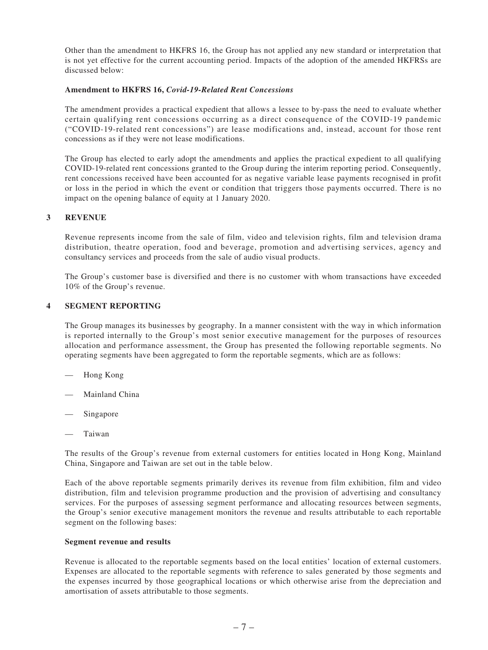Other than the amendment to HKFRS 16, the Group has not applied any new standard or interpretation that is not yet effective for the current accounting period. Impacts of the adoption of the amended HKFRSs are discussed below:

#### **Amendment to HKFRS 16,** *Covid-19-Related Rent Concessions*

The amendment provides a practical expedient that allows a lessee to by-pass the need to evaluate whether certain qualifying rent concessions occurring as a direct consequence of the COVID-19 pandemic ("COVID-19-related rent concessions") are lease modifications and, instead, account for those rent concessions as if they were not lease modifications.

The Group has elected to early adopt the amendments and applies the practical expedient to all qualifying COVID-19-related rent concessions granted to the Group during the interim reporting period. Consequently, rent concessions received have been accounted for as negative variable lease payments recognised in profit or loss in the period in which the event or condition that triggers those payments occurred. There is no impact on the opening balance of equity at 1 January 2020.

#### **3 REVENUE**

Revenue represents income from the sale of film, video and television rights, film and television drama distribution, theatre operation, food and beverage, promotion and advertising services, agency and consultancy services and proceeds from the sale of audio visual products.

The Group's customer base is diversified and there is no customer with whom transactions have exceeded 10% of the Group's revenue.

#### **4 SEGMENT REPORTING**

The Group manages its businesses by geography. In a manner consistent with the way in which information is reported internally to the Group's most senior executive management for the purposes of resources allocation and performance assessment, the Group has presented the following reportable segments. No operating segments have been aggregated to form the reportable segments, which are as follows:

- Hong Kong
- Mainland China
- Singapore
- **Taiwan**

The results of the Group's revenue from external customers for entities located in Hong Kong, Mainland China, Singapore and Taiwan are set out in the table below.

Each of the above reportable segments primarily derives its revenue from film exhibition, film and video distribution, film and television programme production and the provision of advertising and consultancy services. For the purposes of assessing segment performance and allocating resources between segments, the Group's senior executive management monitors the revenue and results attributable to each reportable segment on the following bases:

#### **Segment revenue and results**

Revenue is allocated to the reportable segments based on the local entities' location of external customers. Expenses are allocated to the reportable segments with reference to sales generated by those segments and the expenses incurred by those geographical locations or which otherwise arise from the depreciation and amortisation of assets attributable to those segments.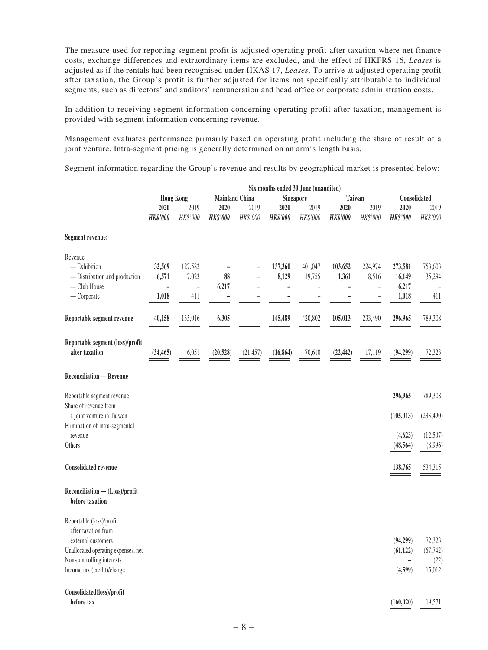The measure used for reporting segment profit is adjusted operating profit after taxation where net finance costs, exchange differences and extraordinary items are excluded, and the effect of HKFRS 16, *Leases* is adjusted as if the rentals had been recognised under HKAS 17, *Leases*. To arrive at adjusted operating profit after taxation, the Group's profit is further adjusted for items not specifically attributable to individual segments, such as directors' and auditors' remuneration and head office or corporate administration costs.

In addition to receiving segment information concerning operating profit after taxation, management is provided with segment information concerning revenue.

Management evaluates performance primarily based on operating profit including the share of result of a joint venture. Intra-segment pricing is generally determined on an arm's length basis.

Segment information regarding the Group's revenue and results by geographical market is presented below:

|                                                   |                 |                  |                 |                       | Six months ended 30 June (unaudited) |                          |                 |                |                 |              |  |
|---------------------------------------------------|-----------------|------------------|-----------------|-----------------------|--------------------------------------|--------------------------|-----------------|----------------|-----------------|--------------|--|
|                                                   |                 | <b>Hong Kong</b> |                 | <b>Mainland China</b> | Singapore                            |                          |                 | Taiwan         |                 | Consolidated |  |
|                                                   | 2020            | 2019             | 2020            | 2019                  | 2020                                 | 2019                     | 2020            | 2019           | 2020            | 2019         |  |
|                                                   | <b>HK\$'000</b> | HK\$'000         | <b>HK\$'000</b> | HK\$'000              | <b>HK\$'000</b>                      | HK\$'000                 | <b>HK\$'000</b> | HK\$'000       | <b>HK\$'000</b> | HK\$'000     |  |
| Segment revenue:                                  |                 |                  |                 |                       |                                      |                          |                 |                |                 |              |  |
| Revenue                                           |                 |                  |                 |                       |                                      |                          |                 |                |                 |              |  |
| $-$ Exhibition                                    | 32,569          | 127,582          |                 |                       | 137,360                              | 401,047                  | 103,652         | 224,974        | 273,581         | 753,603      |  |
| - Distribution and production                     | 6,571           | 7,023            | 88              |                       | 8,129                                | 19,755                   | 1,361           | 8,516          | 16,149          | 35,294       |  |
| - Club House                                      | $\overline{a}$  | $\bar{ }$        | 6,217           |                       |                                      | $\overline{\phantom{0}}$ | -               | $\overline{a}$ | 6,217           |              |  |
| $-$ Corporate                                     | 1,018           | 411              | $\overline{a}$  |                       |                                      |                          |                 |                | 1,018           | 411          |  |
|                                                   |                 |                  |                 |                       |                                      |                          |                 |                |                 |              |  |
| Reportable segment revenue                        | 40,158          | 135,016          | 6,305           |                       | 145,489                              | 420,802                  | 105,013         | 233,490        | 296,965         | 789,308      |  |
| Reportable segment (loss)/profit                  |                 |                  |                 |                       |                                      |                          |                 |                |                 |              |  |
| after taxation                                    | (34, 465)       | 6,051            | (20, 528)       | (21, 457)             | (16, 864)                            | 70,610                   | (22, 442)       | 17,119         | (94,299)        | 72,323       |  |
| <b>Reconciliation - Revenue</b>                   |                 |                  |                 |                       |                                      |                          |                 |                |                 |              |  |
| Reportable segment revenue                        |                 |                  |                 |                       |                                      |                          |                 |                | 296,965         | 789,308      |  |
| Share of revenue from                             |                 |                  |                 |                       |                                      |                          |                 |                |                 |              |  |
| a joint venture in Taiwan                         |                 |                  |                 |                       |                                      |                          |                 |                | (105, 013)      | (233, 490)   |  |
| Elimination of intra-segmental                    |                 |                  |                 |                       |                                      |                          |                 |                |                 |              |  |
| revenue                                           |                 |                  |                 |                       |                                      |                          |                 |                | (4, 623)        | (12,507)     |  |
| Others                                            |                 |                  |                 |                       |                                      |                          |                 |                | (48, 564)       | (8,996)      |  |
| <b>Consolidated revenue</b>                       |                 |                  |                 |                       |                                      |                          |                 |                | 138,765         | 534,315      |  |
| Reconciliation - (Loss)/profit<br>before taxation |                 |                  |                 |                       |                                      |                          |                 |                |                 |              |  |
| Reportable (loss)/profit<br>after taxation from   |                 |                  |                 |                       |                                      |                          |                 |                |                 |              |  |
| external customers                                |                 |                  |                 |                       |                                      |                          |                 |                | (94,299)        | 72,323       |  |
| Unallocated operating expenses, net               |                 |                  |                 |                       |                                      |                          |                 |                | (61, 122)       | (67, 742)    |  |
| Non-controlling interests                         |                 |                  |                 |                       |                                      |                          |                 |                | $\overline{a}$  | (22)         |  |
| Income tax (credit)/charge                        |                 |                  |                 |                       |                                      |                          |                 |                | (4,599)         | 15,012       |  |
|                                                   |                 |                  |                 |                       |                                      |                          |                 |                |                 |              |  |
| Consolidated(loss)/profit                         |                 |                  |                 |                       |                                      |                          |                 |                |                 |              |  |
| before tax                                        |                 |                  |                 |                       |                                      |                          |                 |                | (160, 020)      | 19,571       |  |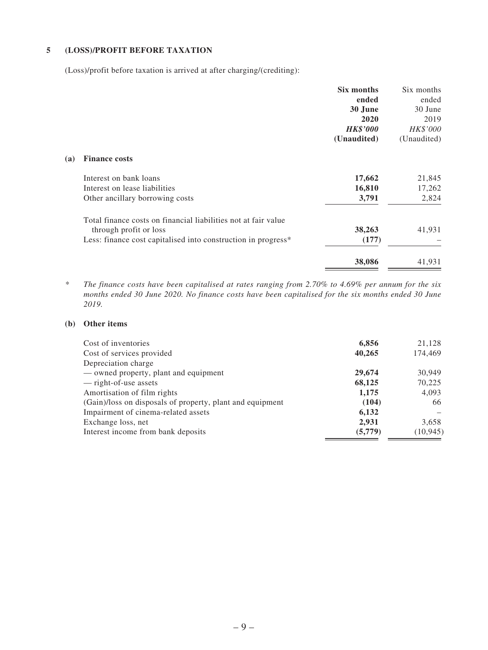#### **5 (LOSS)/PROFIT BEFORE TAXATION**

(Loss)/profit before taxation is arrived at after charging/(crediting):

|            |                                                                                          | Six months      | Six months  |
|------------|------------------------------------------------------------------------------------------|-----------------|-------------|
|            |                                                                                          | ended           | ended       |
|            |                                                                                          | 30 June         | 30 June     |
|            |                                                                                          | 2020            | 2019        |
|            |                                                                                          | <b>HK\$'000</b> | HK\$'000    |
|            |                                                                                          | (Unaudited)     | (Unaudited) |
| <b>(a)</b> | <b>Finance costs</b>                                                                     |                 |             |
|            | Interest on bank loans                                                                   | 17,662          | 21,845      |
|            | Interest on lease liabilities                                                            | 16,810          | 17,262      |
|            | Other ancillary borrowing costs                                                          | 3,791           | 2,824       |
|            | Total finance costs on financial liabilities not at fair value<br>through profit or loss | 38,263          | 41,931      |
|            | Less: finance cost capitalised into construction in progress*                            | (177)           |             |
|            |                                                                                          | 38,086          | 41,931      |

*\* The finance costs have been capitalised at rates ranging from 2.70% to 4.69% per annum for the six months ended 30 June 2020. No finance costs have been capitalised for the six months ended 30 June 2019.*

#### **(b) Other items**

| Cost of inventories                                       | 6,856   | 21,128    |
|-----------------------------------------------------------|---------|-----------|
| Cost of services provided                                 | 40,265  | 174,469   |
| Depreciation charge                                       |         |           |
| — owned property, plant and equipment                     | 29,674  | 30.949    |
| — right-of-use assets                                     | 68,125  | 70,225    |
| Amortisation of film rights                               | 1,175   | 4,093     |
| (Gain)/loss on disposals of property, plant and equipment | (104)   | 66        |
| Impairment of cinema-related assets                       | 6,132   |           |
| Exchange loss, net                                        | 2,931   | 3,658     |
| Interest income from bank deposits                        | (5,779) | (10, 945) |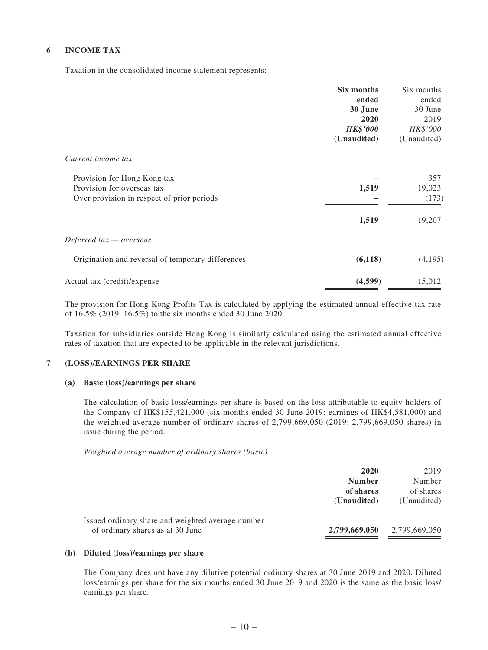### **6 INCOME TAX**

Taxation in the consolidated income statement represents:

|                                                                          | Six months<br>ended<br>30 June<br>2020 | Six months<br>ended<br>30 June<br>2019 |
|--------------------------------------------------------------------------|----------------------------------------|----------------------------------------|
|                                                                          | <b>HK\$'000</b><br>(Unaudited)         | HK\$'000<br>(Unaudited)                |
| Current income tax                                                       |                                        |                                        |
| Provision for Hong Kong tax                                              |                                        | 357                                    |
| Provision for overseas tax<br>Over provision in respect of prior periods | 1,519                                  | 19,023<br>(173)                        |
|                                                                          |                                        |                                        |
|                                                                          | 1,519                                  | 19,207                                 |
| Deferred tax - overseas                                                  |                                        |                                        |
| Origination and reversal of temporary differences                        | (6,118)                                | (4,195)                                |
| Actual tax (credit)/expense                                              | (4,599)                                | 15,012                                 |

The provision for Hong Kong Profits Tax is calculated by applying the estimated annual effective tax rate of 16.5% (2019: 16.5%) to the six months ended 30 June 2020.

Taxation for subsidiaries outside Hong Kong is similarly calculated using the estimated annual effective rates of taxation that are expected to be applicable in the relevant jurisdictions.

#### **7 (LOSS)/EARNINGS PER SHARE**

#### **(a) Basic (loss)/earnings per share**

The calculation of basic loss/earnings per share is based on the loss attributable to equity holders of the Company of HK\$155,421,000 (six months ended 30 June 2019: earnings of HK\$4,581,000) and the weighted average number of ordinary shares of 2,799,669,050 (2019: 2,799,669,050 shares) in issue during the period.

*Weighted average number of ordinary shares (basic)*

|                                                                                       | 2020<br><b>Number</b><br>of shares<br>(Unaudited) | 2019<br>Number<br>of shares<br>(Unaudited) |
|---------------------------------------------------------------------------------------|---------------------------------------------------|--------------------------------------------|
| Issued ordinary share and weighted average number<br>of ordinary shares as at 30 June | 2,799,669,050                                     | 2,799,669,050                              |

#### **(b) Diluted (loss)/earnings per share**

The Company does not have any dilutive potential ordinary shares at 30 June 2019 and 2020. Diluted loss/earnings per share for the six months ended 30 June 2019 and 2020 is the same as the basic loss/ earnings per share.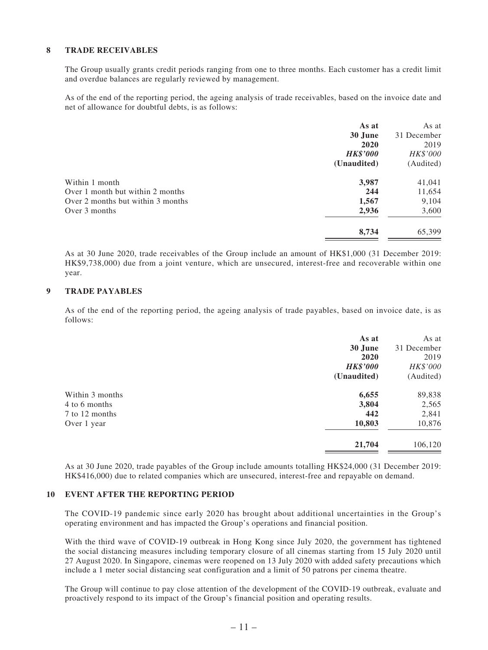#### **8 TRADE RECEIVABLES**

The Group usually grants credit periods ranging from one to three months. Each customer has a credit limit and overdue balances are regularly reviewed by management.

As of the end of the reporting period, the ageing analysis of trade receivables, based on the invoice date and net of allowance for doubtful debts, is as follows:

|                                   | As at           | As at       |
|-----------------------------------|-----------------|-------------|
|                                   | 30 June         | 31 December |
|                                   | 2020            | 2019        |
|                                   | <b>HK\$'000</b> | HK\$'000    |
|                                   | (Unaudited)     | (Audited)   |
| Within 1 month                    | 3,987           | 41,041      |
| Over 1 month but within 2 months  | 244             | 11,654      |
| Over 2 months but within 3 months | 1,567           | 9,104       |
| Over 3 months                     | 2,936           | 3,600       |
|                                   | 8,734           | 65,399      |
|                                   |                 |             |

As at 30 June 2020, trade receivables of the Group include an amount of HK\$1,000 (31 December 2019: HK\$9,738,000) due from a joint venture, which are unsecured, interest-free and recoverable within one year.

#### **9 TRADE PAYABLES**

As of the end of the reporting period, the ageing analysis of trade payables, based on invoice date, is as follows:

|                 | As at           | As at       |
|-----------------|-----------------|-------------|
|                 | 30 June         | 31 December |
|                 | 2020            | 2019        |
|                 | <b>HK\$'000</b> | HK\$'000    |
|                 | (Unaudited)     | (Audited)   |
| Within 3 months | 6,655           | 89,838      |
| 4 to 6 months   | 3,804           | 2,565       |
| 7 to 12 months  | 442             | 2,841       |
| Over 1 year     | 10,803          | 10,876      |
|                 | 21,704          | 106,120     |
|                 |                 |             |

As at 30 June 2020, trade payables of the Group include amounts totalling HK\$24,000 (31 December 2019: HK\$416,000) due to related companies which are unsecured, interest-free and repayable on demand.

#### **10 EVENT AFTER THE REPORTING PERIOD**

The COVID-19 pandemic since early 2020 has brought about additional uncertainties in the Group's operating environment and has impacted the Group's operations and financial position.

With the third wave of COVID-19 outbreak in Hong Kong since July 2020, the government has tightened the social distancing measures including temporary closure of all cinemas starting from 15 July 2020 until 27 August 2020. In Singapore, cinemas were reopened on 13 July 2020 with added safety precautions which include a 1 meter social distancing seat configuration and a limit of 50 patrons per cinema theatre.

The Group will continue to pay close attention of the development of the COVID-19 outbreak, evaluate and proactively respond to its impact of the Group's financial position and operating results.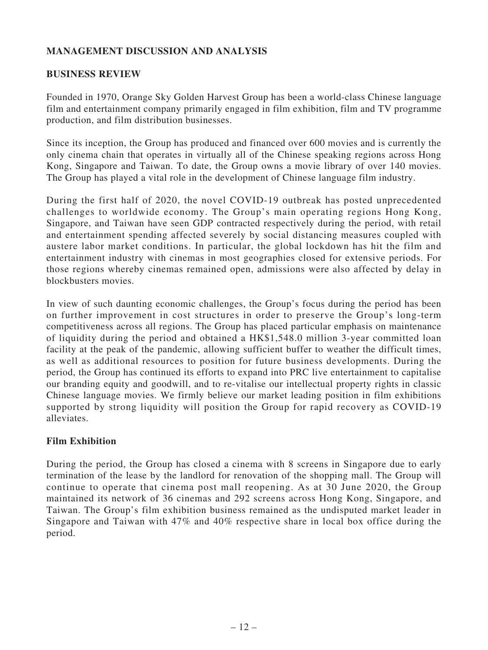# **MANAGEMENT DISCUSSION AND ANALYSIS**

### **BUSINESS REVIEW**

Founded in 1970, Orange Sky Golden Harvest Group has been a world-class Chinese language film and entertainment company primarily engaged in film exhibition, film and TV programme production, and film distribution businesses.

Since its inception, the Group has produced and financed over 600 movies and is currently the only cinema chain that operates in virtually all of the Chinese speaking regions across Hong Kong, Singapore and Taiwan. To date, the Group owns a movie library of over 140 movies. The Group has played a vital role in the development of Chinese language film industry.

During the first half of 2020, the novel COVID-19 outbreak has posted unprecedented challenges to worldwide economy. The Group's main operating regions Hong Kong, Singapore, and Taiwan have seen GDP contracted respectively during the period, with retail and entertainment spending affected severely by social distancing measures coupled with austere labor market conditions. In particular, the global lockdown has hit the film and entertainment industry with cinemas in most geographies closed for extensive periods. For those regions whereby cinemas remained open, admissions were also affected by delay in blockbusters movies.

In view of such daunting economic challenges, the Group's focus during the period has been on further improvement in cost structures in order to preserve the Group's long-term competitiveness across all regions. The Group has placed particular emphasis on maintenance of liquidity during the period and obtained a HK\$1,548.0 million 3-year committed loan facility at the peak of the pandemic, allowing sufficient buffer to weather the difficult times, as well as additional resources to position for future business developments. During the period, the Group has continued its efforts to expand into PRC live entertainment to capitalise our branding equity and goodwill, and to re-vitalise our intellectual property rights in classic Chinese language movies. We firmly believe our market leading position in film exhibitions supported by strong liquidity will position the Group for rapid recovery as COVID-19 alleviates.

# **Film Exhibition**

During the period, the Group has closed a cinema with 8 screens in Singapore due to early termination of the lease by the landlord for renovation of the shopping mall. The Group will continue to operate that cinema post mall reopening. As at 30 June 2020, the Group maintained its network of 36 cinemas and 292 screens across Hong Kong, Singapore, and Taiwan. The Group's film exhibition business remained as the undisputed market leader in Singapore and Taiwan with 47% and 40% respective share in local box office during the period.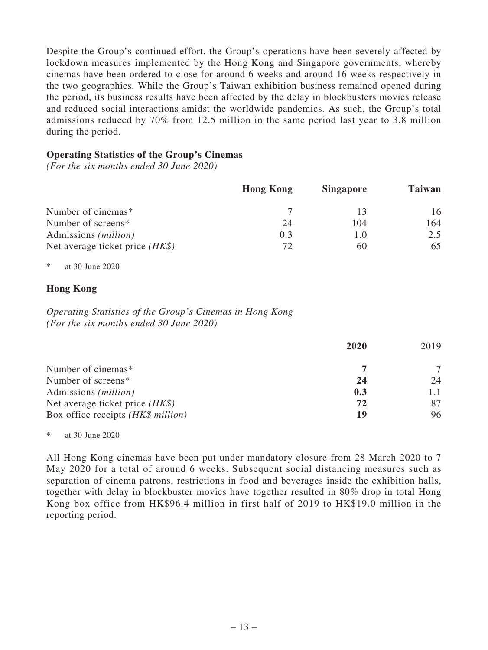Despite the Group's continued effort, the Group's operations have been severely affected by lockdown measures implemented by the Hong Kong and Singapore governments, whereby cinemas have been ordered to close for around 6 weeks and around 16 weeks respectively in the two geographies. While the Group's Taiwan exhibition business remained opened during the period, its business results have been affected by the delay in blockbusters movies release and reduced social interactions amidst the worldwide pandemics. As such, the Group's total admissions reduced by 70% from 12.5 million in the same period last year to 3.8 million during the period.

### **Operating Statistics of the Group's Cinemas**

*(For the six months ended 30 June 2020)*

|                                   | <b>Hong Kong</b> | <b>Singapore</b> | <b>Taiwan</b> |
|-----------------------------------|------------------|------------------|---------------|
| Number of cinemas*                |                  |                  | 16            |
| Number of screens*                | 24               | 104              | 164           |
| Admissions ( <i>million</i> )     | 0.3              |                  | 2.5           |
| Net average ticket price $(HK\$ ) | 72               | 60               | 65            |

\* at 30 June 2020

# **Hong Kong**

*Operating Statistics of the Group's Cinemas in Hong Kong (For the six months ended 30 June 2020)*

|                                    | 2020 | 2019 |
|------------------------------------|------|------|
| Number of cinemas*                 |      |      |
| Number of screens*                 | 24   | 24   |
| Admissions ( <i>million</i> )      | 0.3  |      |
| Net average ticket price $(HK\$ )  | 72   |      |
| Box office receipts (HK\$ million) | 19   | 96   |

\* at 30 June 2020

All Hong Kong cinemas have been put under mandatory closure from 28 March 2020 to 7 May 2020 for a total of around 6 weeks. Subsequent social distancing measures such as separation of cinema patrons, restrictions in food and beverages inside the exhibition halls, together with delay in blockbuster movies have together resulted in 80% drop in total Hong Kong box office from HK\$96.4 million in first half of 2019 to HK\$19.0 million in the reporting period.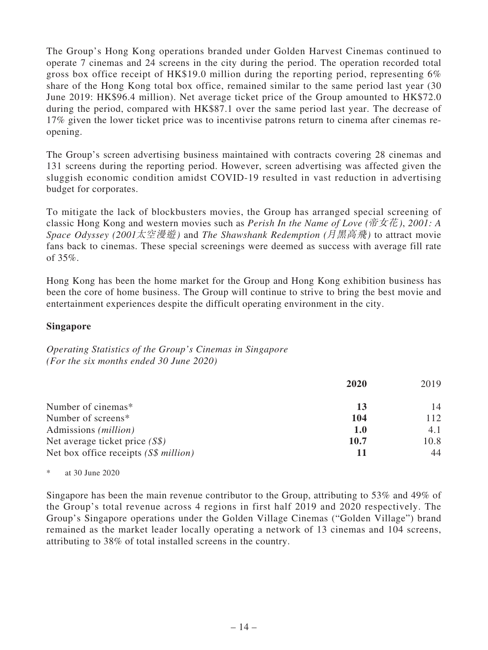The Group's Hong Kong operations branded under Golden Harvest Cinemas continued to operate 7 cinemas and 24 screens in the city during the period. The operation recorded total gross box office receipt of HK\$19.0 million during the reporting period, representing 6% share of the Hong Kong total box office, remained similar to the same period last year (30 June 2019: HK\$96.4 million). Net average ticket price of the Group amounted to HK\$72.0 during the period, compared with HK\$87.1 over the same period last year. The decrease of 17% given the lower ticket price was to incentivise patrons return to cinema after cinemas reopening.

The Group's screen advertising business maintained with contracts covering 28 cinemas and 131 screens during the reporting period. However, screen advertising was affected given the sluggish economic condition amidst COVID-19 resulted in vast reduction in advertising budget for corporates.

To mitigate the lack of blockbusters movies, the Group has arranged special screening of classic Hong Kong and western movies such as *Perish In the Name of Love (*帝女花*)*, *2001: A Space Odyssey (2001*太空漫遊*)* and *The Shawshank Redemption (*月黑高飛*)* to attract movie fans back to cinemas. These special screenings were deemed as success with average fill rate of  $35\%$ .

Hong Kong has been the home market for the Group and Hong Kong exhibition business has been the core of home business. The Group will continue to strive to bring the best movie and entertainment experiences despite the difficult operating environment in the city.

## **Singapore**

*Operating Statistics of the Group's Cinemas in Singapore (For the six months ended 30 June 2020)*

|                                        | 2020 | 2019 |
|----------------------------------------|------|------|
| Number of cinemas*                     | 13   | 14   |
| Number of screens*                     | 104  | 112  |
| Admissions ( <i>million</i> )          | 1.0  | 4.1  |
| Net average ticket price $(S\$ )       | 10.7 | 10.8 |
| Net box office receipts $(S\$ million) |      | 44   |

### \* at 30 June 2020

Singapore has been the main revenue contributor to the Group, attributing to 53% and 49% of the Group's total revenue across 4 regions in first half 2019 and 2020 respectively. The Group's Singapore operations under the Golden Village Cinemas ("Golden Village") brand remained as the market leader locally operating a network of 13 cinemas and 104 screens, attributing to 38% of total installed screens in the country.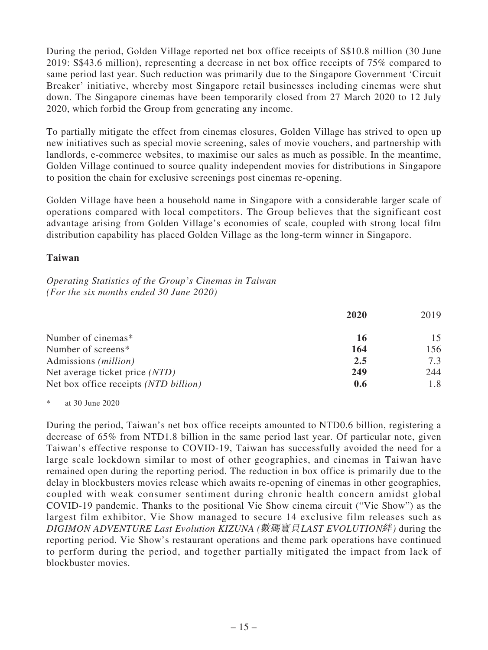During the period, Golden Village reported net box office receipts of S\$10.8 million (30 June 2019: S\$43.6 million), representing a decrease in net box office receipts of 75% compared to same period last year. Such reduction was primarily due to the Singapore Government 'Circuit Breaker' initiative, whereby most Singapore retail businesses including cinemas were shut down. The Singapore cinemas have been temporarily closed from 27 March 2020 to 12 July 2020, which forbid the Group from generating any income.

To partially mitigate the effect from cinemas closures, Golden Village has strived to open up new initiatives such as special movie screening, sales of movie vouchers, and partnership with landlords, e-commerce websites, to maximise our sales as much as possible. In the meantime, Golden Village continued to source quality independent movies for distributions in Singapore to position the chain for exclusive screenings post cinemas re-opening.

Golden Village have been a household name in Singapore with a considerable larger scale of operations compared with local competitors. The Group believes that the significant cost advantage arising from Golden Village's economies of scale, coupled with strong local film distribution capability has placed Golden Village as the long-term winner in Singapore.

### **Taiwan**

*Operating Statistics of the Group's Cinemas in Taiwan (For the six months ended 30 June 2020)*

|                                       | 2020 | 2019 |
|---------------------------------------|------|------|
| Number of cinemas*                    | 16   | 15   |
| Number of screens*                    | 164  | 156  |
| Admissions ( <i>million</i> )         | 2.5  | 7.3  |
| Net average ticket price (NTD)        | 249  | 244  |
| Net box office receipts (NTD billion) | 0.6  | 1.8  |

\* at 30 June 2020

During the period, Taiwan's net box office receipts amounted to NTD0.6 billion, registering a decrease of 65% from NTD1.8 billion in the same period last year. Of particular note, given Taiwan's effective response to COVID-19, Taiwan has successfully avoided the need for a large scale lockdown similar to most of other geographies, and cinemas in Taiwan have remained open during the reporting period. The reduction in box office is primarily due to the delay in blockbusters movies release which awaits re-opening of cinemas in other geographies, coupled with weak consumer sentiment during chronic health concern amidst global COVID-19 pandemic. Thanks to the positional Vie Show cinema circuit ("Vie Show") as the largest film exhibitor, Vie Show managed to secure 14 exclusive film releases such as *DIGIMON ADVENTURE Last Evolution KIZUNA (*數碼寶貝*LAST EVOLUTION*絆*)* during the reporting period. Vie Show's restaurant operations and theme park operations have continued to perform during the period, and together partially mitigated the impact from lack of blockbuster movies.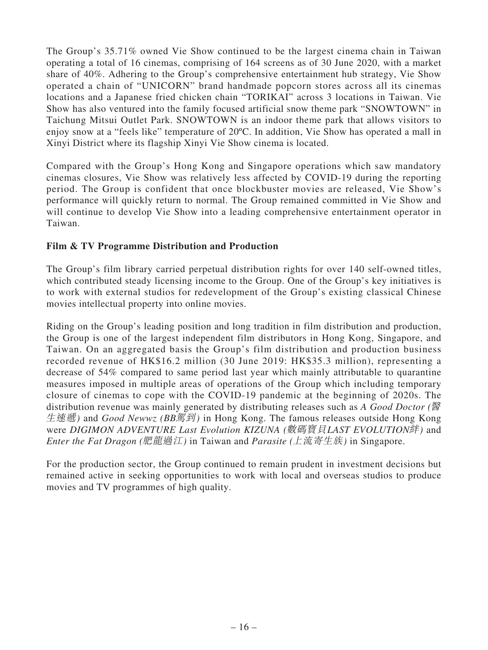The Group's 35.71% owned Vie Show continued to be the largest cinema chain in Taiwan operating a total of 16 cinemas, comprising of 164 screens as of 30 June 2020, with a market share of 40%. Adhering to the Group's comprehensive entertainment hub strategy, Vie Show operated a chain of "UNICORN" brand handmade popcorn stores across all its cinemas locations and a Japanese fried chicken chain "TORIKAI" across 3 locations in Taiwan. Vie Show has also ventured into the family focused artificial snow theme park "SNOWTOWN" in Taichung Mitsui Outlet Park. SNOWTOWN is an indoor theme park that allows visitors to enjoy snow at a "feels like" temperature of 20ºC. In addition, Vie Show has operated a mall in Xinyi District where its flagship Xinyi Vie Show cinema is located.

Compared with the Group's Hong Kong and Singapore operations which saw mandatory cinemas closures, Vie Show was relatively less affected by COVID-19 during the reporting period. The Group is confident that once blockbuster movies are released, Vie Show's performance will quickly return to normal. The Group remained committed in Vie Show and will continue to develop Vie Show into a leading comprehensive entertainment operator in Taiwan.

# **Film & TV Programme Distribution and Production**

The Group's film library carried perpetual distribution rights for over 140 self-owned titles, which contributed steady licensing income to the Group. One of the Group's key initiatives is to work with external studios for redevelopment of the Group's existing classical Chinese movies intellectual property into online movies.

Riding on the Group's leading position and long tradition in film distribution and production, the Group is one of the largest independent film distributors in Hong Kong, Singapore, and Taiwan. On an aggregated basis the Group's film distribution and production business recorded revenue of HK\$16.2 million (30 June 2019: HK\$35.3 million), representing a decrease of 54% compared to same period last year which mainly attributable to quarantine measures imposed in multiple areas of operations of the Group which including temporary closure of cinemas to cope with the COVID-19 pandemic at the beginning of 2020s. The distribution revenue was mainly generated by distributing releases such as *A Good Doctor (*醫 生速遞*)* and *Good Newwz (BB*駕到*)* in Hong Kong. The famous releases outside Hong Kong were *DIGIMON ADVENTURE Last Evolution KIZUNA (*數碼寶貝*LAST EVOLUTION*絆*)* and *Enter the Fat Dragon (*肥龍過江*)* in Taiwan and *Parasite (*上流寄生族*)* in Singapore.

For the production sector, the Group continued to remain prudent in investment decisions but remained active in seeking opportunities to work with local and overseas studios to produce movies and TV programmes of high quality.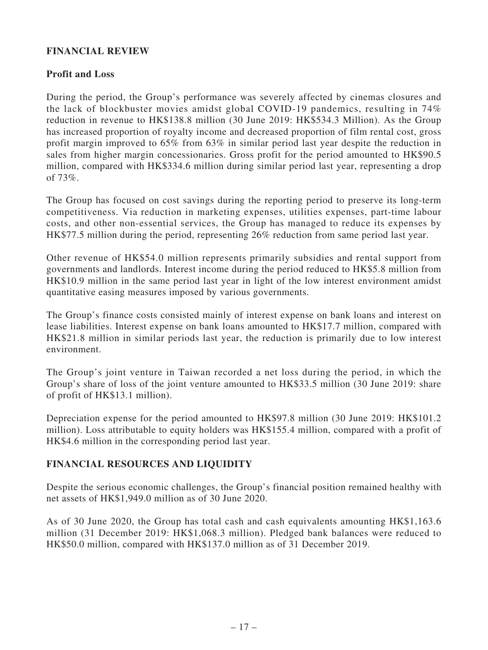# **FINANCIAL REVIEW**

# **Profit and Loss**

During the period, the Group's performance was severely affected by cinemas closures and the lack of blockbuster movies amidst global COVID-19 pandemics, resulting in 74% reduction in revenue to HK\$138.8 million (30 June 2019: HK\$534.3 Million). As the Group has increased proportion of royalty income and decreased proportion of film rental cost, gross profit margin improved to 65% from 63% in similar period last year despite the reduction in sales from higher margin concessionaries. Gross profit for the period amounted to HK\$90.5 million, compared with HK\$334.6 million during similar period last year, representing a drop of 73%.

The Group has focused on cost savings during the reporting period to preserve its long-term competitiveness. Via reduction in marketing expenses, utilities expenses, part-time labour costs, and other non-essential services, the Group has managed to reduce its expenses by HK\$77.5 million during the period, representing 26% reduction from same period last year.

Other revenue of HK\$54.0 million represents primarily subsidies and rental support from governments and landlords. Interest income during the period reduced to HK\$5.8 million from HK\$10.9 million in the same period last year in light of the low interest environment amidst quantitative easing measures imposed by various governments.

The Group's finance costs consisted mainly of interest expense on bank loans and interest on lease liabilities. Interest expense on bank loans amounted to HK\$17.7 million, compared with HK\$21.8 million in similar periods last year, the reduction is primarily due to low interest environment.

The Group's joint venture in Taiwan recorded a net loss during the period, in which the Group's share of loss of the joint venture amounted to HK\$33.5 million (30 June 2019: share of profit of HK\$13.1 million).

Depreciation expense for the period amounted to HK\$97.8 million (30 June 2019: HK\$101.2 million). Loss attributable to equity holders was HK\$155.4 million, compared with a profit of HK\$4.6 million in the corresponding period last year.

# **FINANCIAL RESOURCES AND LIQUIDITY**

Despite the serious economic challenges, the Group's financial position remained healthy with net assets of HK\$1,949.0 million as of 30 June 2020.

As of 30 June 2020, the Group has total cash and cash equivalents amounting HK\$1,163.6 million (31 December 2019: HK\$1,068.3 million). Pledged bank balances were reduced to HK\$50.0 million, compared with HK\$137.0 million as of 31 December 2019.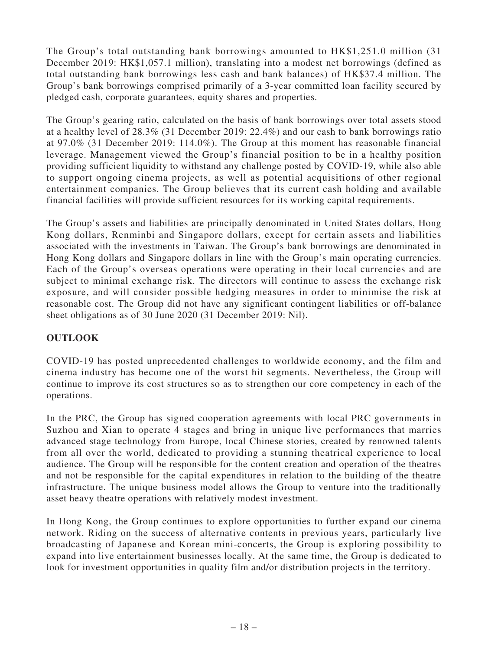The Group's total outstanding bank borrowings amounted to HK\$1,251.0 million (31 December 2019: HK\$1,057.1 million), translating into a modest net borrowings (defined as total outstanding bank borrowings less cash and bank balances) of HK\$37.4 million. The Group's bank borrowings comprised primarily of a 3-year committed loan facility secured by pledged cash, corporate guarantees, equity shares and properties.

The Group's gearing ratio, calculated on the basis of bank borrowings over total assets stood at a healthy level of 28.3% (31 December 2019: 22.4%) and our cash to bank borrowings ratio at 97.0% (31 December 2019: 114.0%). The Group at this moment has reasonable financial leverage. Management viewed the Group's financial position to be in a healthy position providing sufficient liquidity to withstand any challenge posted by COVID-19, while also able to support ongoing cinema projects, as well as potential acquisitions of other regional entertainment companies. The Group believes that its current cash holding and available financial facilities will provide sufficient resources for its working capital requirements.

The Group's assets and liabilities are principally denominated in United States dollars, Hong Kong dollars, Renminbi and Singapore dollars, except for certain assets and liabilities associated with the investments in Taiwan. The Group's bank borrowings are denominated in Hong Kong dollars and Singapore dollars in line with the Group's main operating currencies. Each of the Group's overseas operations were operating in their local currencies and are subject to minimal exchange risk. The directors will continue to assess the exchange risk exposure, and will consider possible hedging measures in order to minimise the risk at reasonable cost. The Group did not have any significant contingent liabilities or off-balance sheet obligations as of 30 June 2020 (31 December 2019: Nil).

# **OUTLOOK**

COVID-19 has posted unprecedented challenges to worldwide economy, and the film and cinema industry has become one of the worst hit segments. Nevertheless, the Group will continue to improve its cost structures so as to strengthen our core competency in each of the operations.

In the PRC, the Group has signed cooperation agreements with local PRC governments in Suzhou and Xian to operate 4 stages and bring in unique live performances that marries advanced stage technology from Europe, local Chinese stories, created by renowned talents from all over the world, dedicated to providing a stunning theatrical experience to local audience. The Group will be responsible for the content creation and operation of the theatres and not be responsible for the capital expenditures in relation to the building of the theatre infrastructure. The unique business model allows the Group to venture into the traditionally asset heavy theatre operations with relatively modest investment.

In Hong Kong, the Group continues to explore opportunities to further expand our cinema network. Riding on the success of alternative contents in previous years, particularly live broadcasting of Japanese and Korean mini-concerts, the Group is exploring possibility to expand into live entertainment businesses locally. At the same time, the Group is dedicated to look for investment opportunities in quality film and/or distribution projects in the territory.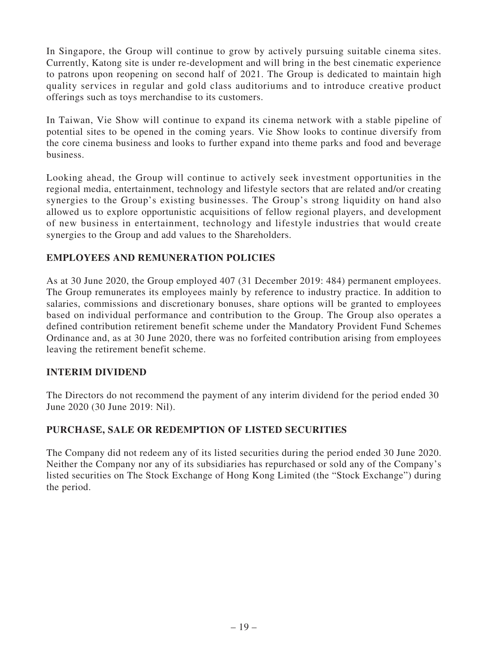In Singapore, the Group will continue to grow by actively pursuing suitable cinema sites. Currently, Katong site is under re-development and will bring in the best cinematic experience to patrons upon reopening on second half of 2021. The Group is dedicated to maintain high quality services in regular and gold class auditoriums and to introduce creative product offerings such as toys merchandise to its customers.

In Taiwan, Vie Show will continue to expand its cinema network with a stable pipeline of potential sites to be opened in the coming years. Vie Show looks to continue diversify from the core cinema business and looks to further expand into theme parks and food and beverage business.

Looking ahead, the Group will continue to actively seek investment opportunities in the regional media, entertainment, technology and lifestyle sectors that are related and/or creating synergies to the Group's existing businesses. The Group's strong liquidity on hand also allowed us to explore opportunistic acquisitions of fellow regional players, and development of new business in entertainment, technology and lifestyle industries that would create synergies to the Group and add values to the Shareholders.

# **EMPLOYEES AND REMUNERATION POLICIES**

As at 30 June 2020, the Group employed 407 (31 December 2019: 484) permanent employees. The Group remunerates its employees mainly by reference to industry practice. In addition to salaries, commissions and discretionary bonuses, share options will be granted to employees based on individual performance and contribution to the Group. The Group also operates a defined contribution retirement benefit scheme under the Mandatory Provident Fund Schemes Ordinance and, as at 30 June 2020, there was no forfeited contribution arising from employees leaving the retirement benefit scheme.

# **INTERIM DIVIDEND**

The Directors do not recommend the payment of any interim dividend for the period ended 30 June 2020 (30 June 2019: Nil).

# **PURCHASE, SALE OR REDEMPTION OF LISTED SECURITIES**

The Company did not redeem any of its listed securities during the period ended 30 June 2020. Neither the Company nor any of its subsidiaries has repurchased or sold any of the Company's listed securities on The Stock Exchange of Hong Kong Limited (the "Stock Exchange") during the period.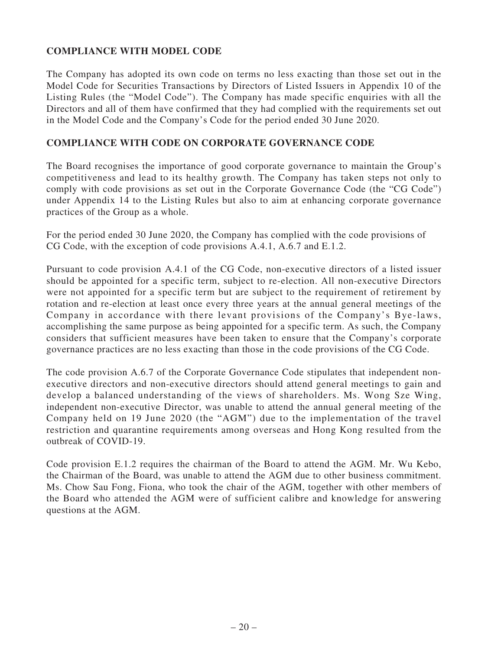# **COMPLIANCE WITH MODEL CODE**

The Company has adopted its own code on terms no less exacting than those set out in the Model Code for Securities Transactions by Directors of Listed Issuers in Appendix 10 of the Listing Rules (the "Model Code"). The Company has made specific enquiries with all the Directors and all of them have confirmed that they had complied with the requirements set out in the Model Code and the Company's Code for the period ended 30 June 2020.

### **COMPLIANCE WITH CODE ON CORPORATE GOVERNANCE CODE**

The Board recognises the importance of good corporate governance to maintain the Group's competitiveness and lead to its healthy growth. The Company has taken steps not only to comply with code provisions as set out in the Corporate Governance Code (the "CG Code") under Appendix 14 to the Listing Rules but also to aim at enhancing corporate governance practices of the Group as a whole.

For the period ended 30 June 2020, the Company has complied with the code provisions of CG Code, with the exception of code provisions A.4.1, A.6.7 and E.1.2.

Pursuant to code provision A.4.1 of the CG Code, non-executive directors of a listed issuer should be appointed for a specific term, subject to re-election. All non-executive Directors were not appointed for a specific term but are subject to the requirement of retirement by rotation and re-election at least once every three years at the annual general meetings of the Company in accordance with there levant provisions of the Company's Bye-laws, accomplishing the same purpose as being appointed for a specific term. As such, the Company considers that sufficient measures have been taken to ensure that the Company's corporate governance practices are no less exacting than those in the code provisions of the CG Code.

The code provision A.6.7 of the Corporate Governance Code stipulates that independent nonexecutive directors and non-executive directors should attend general meetings to gain and develop a balanced understanding of the views of shareholders. Ms. Wong Sze Wing, independent non-executive Director, was unable to attend the annual general meeting of the Company held on 19 June 2020 (the "AGM") due to the implementation of the travel restriction and quarantine requirements among overseas and Hong Kong resulted from the outbreak of COVID-19.

Code provision E.1.2 requires the chairman of the Board to attend the AGM. Mr. Wu Kebo, the Chairman of the Board, was unable to attend the AGM due to other business commitment. Ms. Chow Sau Fong, Fiona, who took the chair of the AGM, together with other members of the Board who attended the AGM were of sufficient calibre and knowledge for answering questions at the AGM.